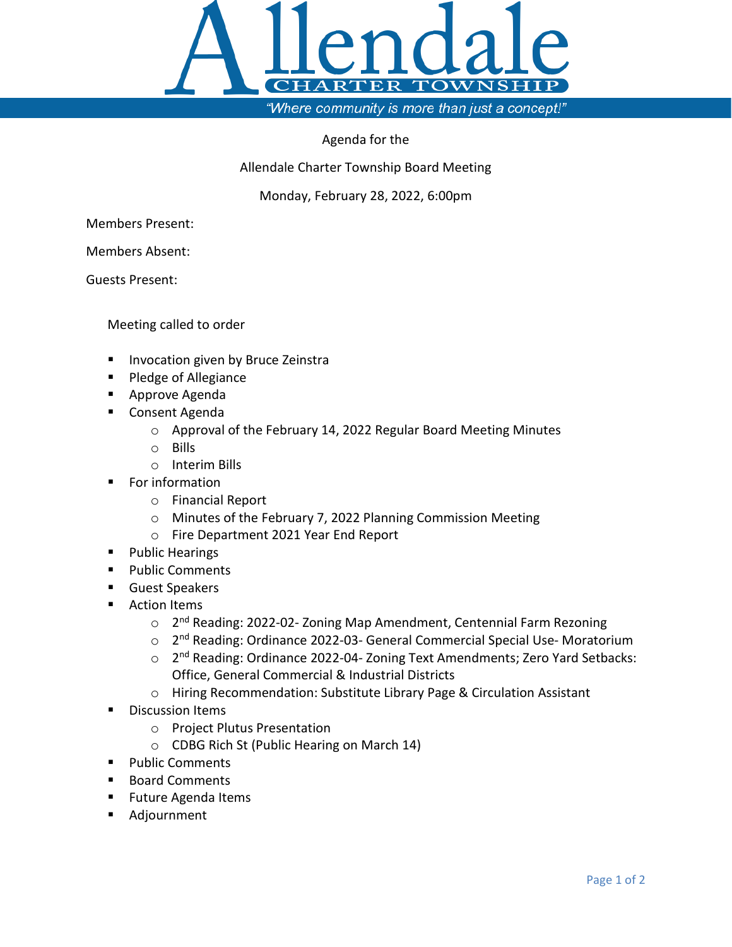

## Agenda for the

Allendale Charter Township Board Meeting

Monday, February 28, 2022, 6:00pm

Members Present:

Members Absent:

Guests Present:

Meeting called to order

- **Invocation given by Bruce Zeinstra**
- Pledge of Allegiance
- **Approve Agenda**
- Consent Agenda
	- o Approval of the February 14, 2022 Regular Board Meeting Minutes
	- o Bills
	- o Interim Bills
- For information
	- o Financial Report
	- o Minutes of the February 7, 2022 Planning Commission Meeting
	- o Fire Department 2021 Year End Report
- **Public Hearings**
- **Public Comments**
- **Guest Speakers**
- **Action Items** 
	- o 2<sup>nd</sup> Reading: 2022-02- Zoning Map Amendment, Centennial Farm Rezoning
	- o 2nd Reading: Ordinance 2022-03- General Commercial Special Use- Moratorium
	- o 2<sup>nd</sup> Reading: Ordinance 2022-04- Zoning Text Amendments; Zero Yard Setbacks: Office, General Commercial & Industrial Districts
	- o Hiring Recommendation: Substitute Library Page & Circulation Assistant
- Discussion Items
	- o Project Plutus Presentation
	- o CDBG Rich St (Public Hearing on March 14)
- **Public Comments**
- Board Comments
- **Future Agenda Items**
- Adjournment